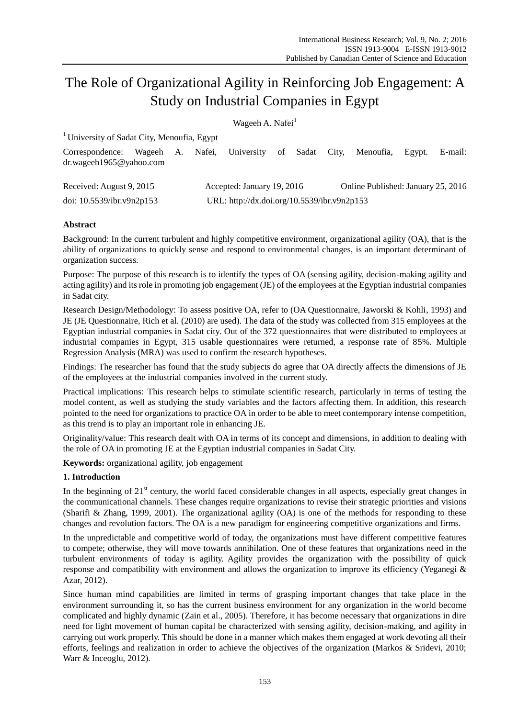# The Role of Organizational Agility in Reinforcing Job Engagement: A Study on Industrial Companies in Egypt

Wageeh A. Nafei<sup>1</sup>

| <sup>1</sup> University of Sadat City, Menoufia, Egypt |  |                                                      |  |                                    |        |         |
|--------------------------------------------------------|--|------------------------------------------------------|--|------------------------------------|--------|---------|
| Correspondence:<br>$dr$ .wageeh1965@yahoo.com          |  | Wageeh A. Nafei, University of Sadat City, Menoufia, |  |                                    | Egypt. | E-mail: |
| Received: August 9, 2015                               |  | Accepted: January 19, 2016                           |  | Online Published: January 25, 2016 |        |         |
| doi: 10.5539/ibr.v9n2p153                              |  | URL: http://dx.doi.org/10.5539/ibr.v9n2p153          |  |                                    |        |         |

# **Abstract**

Background: In the current turbulent and highly competitive environment, organizational agility (OA), that is the ability of organizations to quickly sense and respond to environmental changes, is an important determinant of organization success.

Purpose: The purpose of this research is to identify the types of OA (sensing agility, decision-making agility and acting agility) and its role in promoting job engagement (JE) of the employees at the Egyptian industrial companies in Sadat city.

Research Design/Methodology: To assess positive OA, refer to (OA Questionnaire, Jaworski & Kohli, 1993) and JE (JE Questionnaire, Rich et al. (2010) are used). The data of the study was collected from 315 employees at the Egyptian industrial companies in Sadat city. Out of the 372 questionnaires that were distributed to employees at industrial companies in Egypt, 315 usable questionnaires were returned, a response rate of 85%. Multiple Regression Analysis (MRA) was used to confirm the research hypotheses.

Findings: The researcher has found that the study subjects do agree that OA directly affects the dimensions of JE of the employees at the industrial companies involved in the current study.

Practical implications: This research helps to stimulate scientific research, particularly in terms of testing the model content, as well as studying the study variables and the factors affecting them. In addition, this research pointed to the need for organizations to practice OA in order to be able to meet contemporary intense competition, as this trend is to play an important role in enhancing JE.

Originality/value: This research dealt with OA in terms of its concept and dimensions, in addition to dealing with the role of OA in promoting JE at the Egyptian industrial companies in Sadat City.

**Keywords:** organizational agility, job engagement

# **1. Introduction**

In the beginning of  $21<sup>st</sup>$  century, the world faced considerable changes in all aspects, especially great changes in the communicational channels. These changes require organizations to revise their strategic priorities and visions (Sharifi & Zhang, 1999, 2001). The organizational agility (OA) is one of the methods for responding to these changes and revolution factors. The OA is a new paradigm for engineering competitive organizations and firms.

In the unpredictable and competitive world of today, the organizations must have different competitive features to compete; otherwise, they will move towards annihilation. One of these features that organizations need in the turbulent environments of today is agility. Agility provides the organization with the possibility of quick response and compatibility with environment and allows the organization to improve its efficiency (Yeganegi & Azar, 2012).

Since human mind capabilities are limited in terms of grasping important changes that take place in the environment surrounding it, so has the current business environment for any organization in the world become complicated and highly dynamic (Zain et al., 2005). Therefore, it has become necessary that organizations in dire need for light movement of human capital be characterized with sensing agility, decision-making, and agility in carrying out work properly. This should be done in a manner which makes them engaged at work devoting all their efforts, feelings and realization in order to achieve the objectives of the organization (Markos & Sridevi, 2010; Warr & Inceoglu, 2012).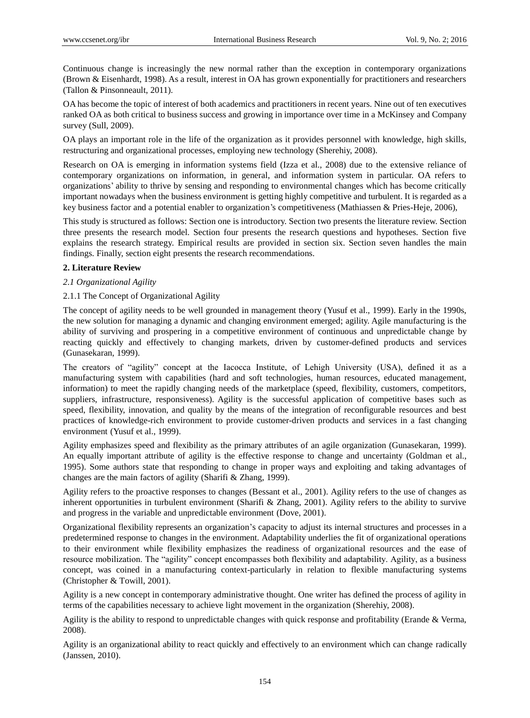Continuous change is increasingly the new normal rather than the exception in contemporary organizations (Brown & Eisenhardt, 1998). As a result, interest in OA has grown exponentially for practitioners and researchers (Tallon & Pinsonneault, 2011).

OA has become the topic of interest of both academics and practitioners in recent years. Nine out of ten executives ranked OA as both critical to business success and growing in importance over time in a McKinsey and Company survey (Sull, 2009).

OA plays an important role in the life of the organization as it provides personnel with knowledge, high skills, restructuring and organizational processes, employing new technology (Sherehiy, 2008).

Research on OA is emerging in information systems field (Izza et al., 2008) due to the extensive reliance of contemporary organizations on information, in general, and information system in particular. OA refers to organizations' ability to thrive by sensing and responding to environmental changes which has become critically important nowadays when the business environment is getting highly competitive and turbulent. It is regarded as a key business factor and a potential enabler to organization's competitiveness (Mathiassen & Pries-Heje, 2006),

This study is structured as follows: Section one is introductory. Section two presents the literature review. Section three presents the research model. Section four presents the research questions and hypotheses. Section five explains the research strategy. Empirical results are provided in section six. Section seven handles the main findings. Finally, section eight presents the research recommendations.

## **2. Literature Review**

# *2.1 Organizational Agility*

2.1.1 The Concept of Organizational Agility

The concept of agility needs to be well grounded in management theory (Yusuf et al., 1999). Early in the 1990s, the new solution for managing a dynamic and changing environment emerged; agility. Agile manufacturing is the ability of surviving and prospering in a competitive environment of continuous and unpredictable change by reacting quickly and effectively to changing markets, driven by customer-defined products and services (Gunasekaran, 1999).

The creators of "agility" concept at the Iacocca Institute, of Lehigh University (USA), defined it as a manufacturing system with capabilities (hard and soft technologies, human resources, educated management, information) to meet the rapidly changing needs of the marketplace (speed, flexibility, customers, competitors, suppliers, infrastructure, responsiveness). Agility is the successful application of competitive bases such as speed, flexibility, innovation, and quality by the means of the integration of reconfigurable resources and best practices of knowledge-rich environment to provide customer-driven products and services in a fast changing environment (Yusuf et al., 1999).

Agility emphasizes speed and flexibility as the primary attributes of an agile organization (Gunasekaran, 1999). An equally important attribute of agility is the effective response to change and uncertainty (Goldman et al., 1995). Some authors state that responding to change in proper ways and exploiting and taking advantages of changes are the main factors of agility (Sharifi & Zhang, 1999).

Agility refers to the proactive responses to changes (Bessant et al., 2001). Agility refers to the use of changes as inherent opportunities in turbulent environment (Sharifi & Zhang, 2001). Agility refers to the ability to survive and progress in the variable and unpredictable environment (Dove, 2001).

Organizational flexibility represents an organization's capacity to adjust its internal structures and processes in a predetermined response to changes in the environment. Adaptability underlies the fit of organizational operations to their environment while flexibility emphasizes the readiness of organizational resources and the ease of resource mobilization. The "agility" concept encompasses both flexibility and adaptability. Agility, as a business concept, was coined in a manufacturing context-particularly in relation to flexible manufacturing systems (Christopher & Towill, 2001).

Agility is a new concept in contemporary administrative thought. One writer has defined the process of agility in terms of the capabilities necessary to achieve light movement in the organization (Sherehiy, 2008).

Agility is the ability to respond to unpredictable changes with quick response and profitability (Erande & Verma, 2008).

Agility is an organizational ability to react quickly and effectively to an environment which can change radically (Janssen, 2010).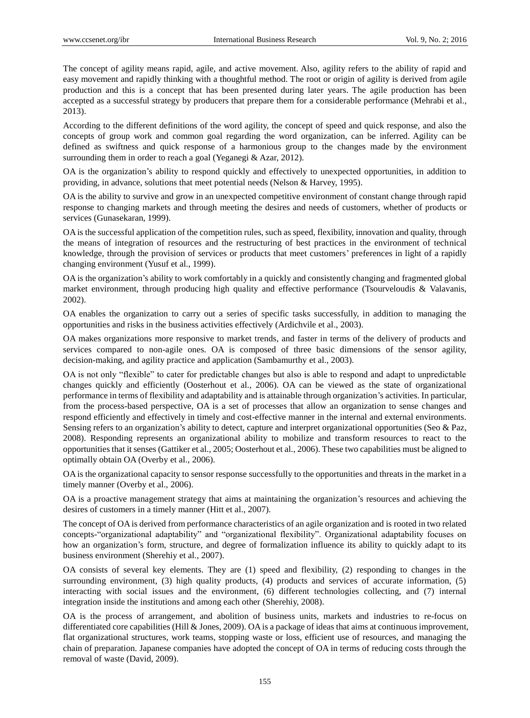The concept of agility means rapid, agile, and active movement. Also, agility refers to the ability of rapid and easy movement and rapidly thinking with a thoughtful method. The root or origin of agility is derived from agile production and this is a concept that has been presented during later years. The agile production has been accepted as a successful strategy by producers that prepare them for a considerable performance (Mehrabi et al., 2013).

According to the different definitions of the word agility, the concept of speed and quick response, and also the concepts of group work and common goal regarding the word organization, can be inferred. Agility can be defined as swiftness and quick response of a harmonious group to the changes made by the environment surrounding them in order to reach a goal (Yeganegi & Azar, 2012).

OA is the organization's ability to respond quickly and effectively to unexpected opportunities, in addition to providing, in advance, solutions that meet potential needs (Nelson & Harvey, 1995).

OA is the ability to survive and grow in an unexpected competitive environment of constant change through rapid response to changing markets and through meeting the desires and needs of customers, whether of products or services (Gunasekaran, 1999).

OA is the successful application of the competition rules, such as speed, flexibility, innovation and quality, through the means of integration of resources and the restructuring of best practices in the environment of technical knowledge, through the provision of services or products that meet customers' preferences in light of a rapidly changing environment (Yusuf et al., 1999).

OA is the organization's ability to work comfortably in a quickly and consistently changing and fragmented global market environment, through producing high quality and effective performance (Tsourveloudis & Valavanis, 2002).

OA enables the organization to carry out a series of specific tasks successfully, in addition to managing the opportunities and risks in the business activities effectively (Ardichvile et al., 2003).

OA makes organizations more responsive to market trends, and faster in terms of the delivery of products and services compared to non-agile ones. OA is composed of three basic dimensions of the sensor agility, decision-making, and agility practice and application (Sambamurthy et al., 2003).

OA is not only "flexible" to cater for predictable changes but also is able to respond and adapt to unpredictable changes quickly and efficiently (Oosterhout et al., 2006). OA can be viewed as the state of organizational performance in terms of flexibility and adaptability and is attainable through organization's activities. In particular, from the process-based perspective, OA is a set of processes that allow an organization to sense changes and respond efficiently and effectively in timely and cost-effective manner in the internal and external environments. Sensing refers to an organization's ability to detect, capture and interpret organizational opportunities (Seo & Paz, 2008). Responding represents an organizational ability to mobilize and transform resources to react to the opportunities that it senses (Gattiker et al., 2005; Oosterhout et al., 2006). These two capabilities must be aligned to optimally obtain OA (Overby et al., 2006).

OA is the organizational capacity to sensor response successfully to the opportunities and threats in the market in a timely manner (Overby et al., 2006).

OA is a proactive management strategy that aims at maintaining the organization's resources and achieving the desires of customers in a timely manner (Hitt et al., 2007).

The concept of OA is derived from performance characteristics of an agile organization and is rooted in two related concepts-"organizational adaptability" and "organizational flexibility". Organizational adaptability focuses on how an organization's form, structure, and degree of formalization influence its ability to quickly adapt to its business environment (Sherehiy et al., 2007).

OA consists of several key elements. They are (1) speed and flexibility, (2) responding to changes in the surrounding environment, (3) high quality products, (4) products and services of accurate information, (5) interacting with social issues and the environment, (6) different technologies collecting, and (7) internal integration inside the institutions and among each other (Sherehiy, 2008).

OA is the process of arrangement, and abolition of business units, markets and industries to re-focus on differentiated core capabilities (Hill & Jones, 2009). OA is a package of ideas that aims at continuous improvement, flat organizational structures, work teams, stopping waste or loss, efficient use of resources, and managing the chain of preparation. Japanese companies have adopted the concept of OA in terms of reducing costs through the removal of waste (David, 2009).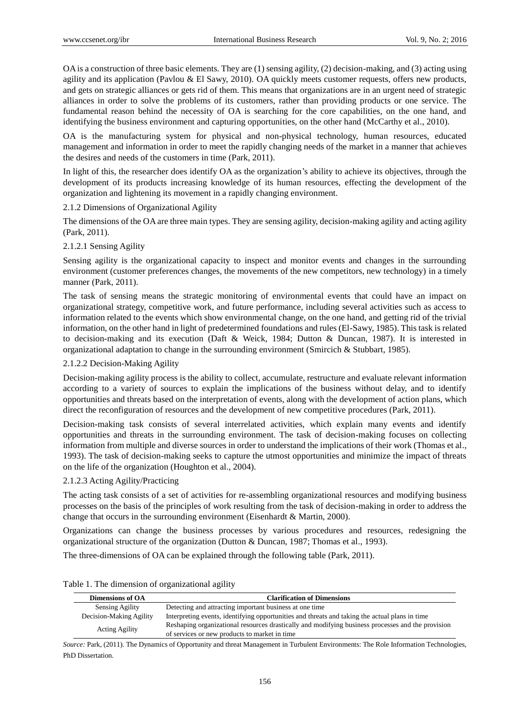OA is a construction of three basic elements. They are  $(1)$  sensing agility,  $(2)$  decision-making, and  $(3)$  acting using agility and its application (Pavlou & El Sawy, 2010). OA quickly meets customer requests, offers new products, and gets on strategic alliances or gets rid of them. This means that organizations are in an urgent need of strategic alliances in order to solve the problems of its customers, rather than providing products or one service. The fundamental reason behind the necessity of OA is searching for the core capabilities, on the one hand, and identifying the business environment and capturing opportunities, on the other hand (McCarthy et al., 2010).

OA is the manufacturing system for physical and non-physical technology, human resources, educated management and information in order to meet the rapidly changing needs of the market in a manner that achieves the desires and needs of the customers in time (Park, 2011).

In light of this, the researcher does identify OA as the organization's ability to achieve its objectives, through the development of its products increasing knowledge of its human resources, effecting the development of the organization and lightening its movement in a rapidly changing environment.

## 2.1.2 Dimensions of Organizational Agility

The dimensions of the OA are three main types. They are sensing agility, decision-making agility and acting agility (Park, 2011).

# 2.1.2.1 Sensing Agility

Sensing agility is the organizational capacity to inspect and monitor events and changes in the surrounding environment (customer preferences changes, the movements of the new competitors, new technology) in a timely manner (Park, 2011).

The task of sensing means the strategic monitoring of environmental events that could have an impact on organizational strategy, competitive work, and future performance, including several activities such as access to information related to the events which show environmental change, on the one hand, and getting rid of the trivial information, on the other hand in light of predetermined foundations and rules (El-Sawy, 1985). This task is related to decision-making and its execution (Daft & Weick, 1984; Dutton & Duncan, 1987). It is interested in organizational adaptation to change in the surrounding environment (Smircich & Stubbart, 1985).

# 2.1.2.2 Decision-Making Agility

Decision-making agility process is the ability to collect, accumulate, restructure and evaluate relevant information according to a variety of sources to explain the implications of the business without delay, and to identify opportunities and threats based on the interpretation of events, along with the development of action plans, which direct the reconfiguration of resources and the development of new competitive procedures (Park, 2011).

Decision-making task consists of several interrelated activities, which explain many events and identify opportunities and threats in the surrounding environment. The task of decision-making focuses on collecting information from multiple and diverse sources in order to understand the implications of their work (Thomas et al., 1993). The task of decision-making seeks to capture the utmost opportunities and minimize the impact of threats on the life of the organization (Houghton et al., 2004).

## 2.1.2.3 Acting Agility/Practicing

The acting task consists of a set of activities for re-assembling organizational resources and modifying business processes on the basis of the principles of work resulting from the task of decision-making in order to address the change that occurs in the surrounding environment (Eisenhardt & Martin, 2000).

Organizations can change the business processes by various procedures and resources, redesigning the organizational structure of the organization (Dutton & Duncan, 1987; Thomas et al., 1993).

The three-dimensions of OA can be explained through the following table (Park, 2011).

| Dimensions of OA        | <b>Clarification of Dimensions</b>                                                                                                                 |
|-------------------------|----------------------------------------------------------------------------------------------------------------------------------------------------|
| Sensing Agility         | Detecting and attracting important business at one time                                                                                            |
| Decision-Making Agility | Interpreting events, identifying opportunities and threats and taking the actual plans in time                                                     |
| <b>Acting Agility</b>   | Reshaping organizational resources drastically and modifying business processes and the provision<br>of services or new products to market in time |

# Table 1. The dimension of organizational agility

*Source:* Park, (2011). The Dynamics of Opportunity and threat Management in Turbulent Environments: The Role Information Technologies, PhD Dissertation.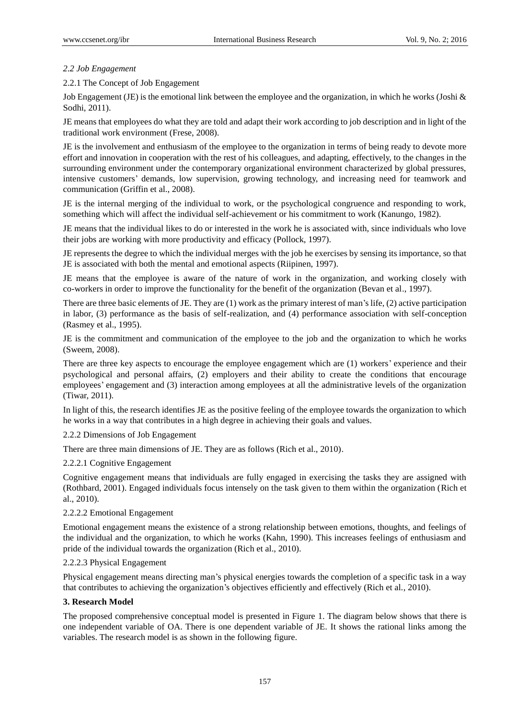# *2.2 Job Engagement*

2.2.1 The Concept of Job Engagement

Job Engagement (JE) is the emotional link between the employee and the organization, in which he works (Joshi & Sodhi, 2011).

JE means that employees do what they are told and adapt their work according to job description and in light of the traditional work environment (Frese, 2008).

JE is the involvement and enthusiasm of the employee to the organization in terms of being ready to devote more effort and innovation in cooperation with the rest of his colleagues, and adapting, effectively, to the changes in the surrounding environment under the contemporary organizational environment characterized by global pressures, intensive customers' demands, low supervision, growing technology, and increasing need for teamwork and communication (Griffin et al., 2008).

JE is the internal merging of the individual to work, or the psychological congruence and responding to work, something which will affect the individual self-achievement or his commitment to work (Kanungo, 1982).

JE means that the individual likes to do or interested in the work he is associated with, since individuals who love their jobs are working with more productivity and efficacy (Pollock, 1997).

JE represents the degree to which the individual merges with the job he exercises by sensing its importance, so that JE is associated with both the mental and emotional aspects (Riipinen, 1997).

JE means that the employee is aware of the nature of work in the organization, and working closely with co-workers in order to improve the functionality for the benefit of the organization (Bevan et al., 1997).

There are three basic elements of JE. They are (1) work as the primary interest of man's life, (2) active participation in labor, (3) performance as the basis of self-realization, and (4) performance association with self-conception (Rasmey et al., 1995).

JE is the commitment and communication of the employee to the job and the organization to which he works (Sweem, 2008).

There are three key aspects to encourage the employee engagement which are (1) workers' experience and their psychological and personal affairs, (2) employers and their ability to create the conditions that encourage employees' engagement and (3) interaction among employees at all the administrative levels of the organization (Tiwar, 2011).

In light of this, the research identifies JE as the positive feeling of the employee towards the organization to which he works in a way that contributes in a high degree in achieving their goals and values.

2.2.2 Dimensions of Job Engagement

There are three main dimensions of JE. They are as follows (Rich et al., 2010).

2.2.2.1 Cognitive Engagement

Cognitive engagement means that individuals are fully engaged in exercising the tasks they are assigned with (Rothbard, 2001). Engaged individuals focus intensely on the task given to them within the organization (Rich et al., 2010).

## 2.2.2.2 Emotional Engagement

Emotional engagement means the existence of a strong relationship between emotions, thoughts, and feelings of the individual and the organization, to which he works (Kahn, 1990). This increases feelings of enthusiasm and pride of the individual towards the organization (Rich et al., 2010).

#### 2.2.2.3 Physical Engagement

Physical engagement means directing man's physical energies towards the completion of a specific task in a way that contributes to achieving the organization's objectives efficiently and effectively (Rich et al., 2010).

### **3. Research Model**

The proposed comprehensive conceptual model is presented in Figure 1. The diagram below shows that there is one independent variable of OA. There is one dependent variable of JE. It shows the rational links among the variables. The research model is as shown in the following figure.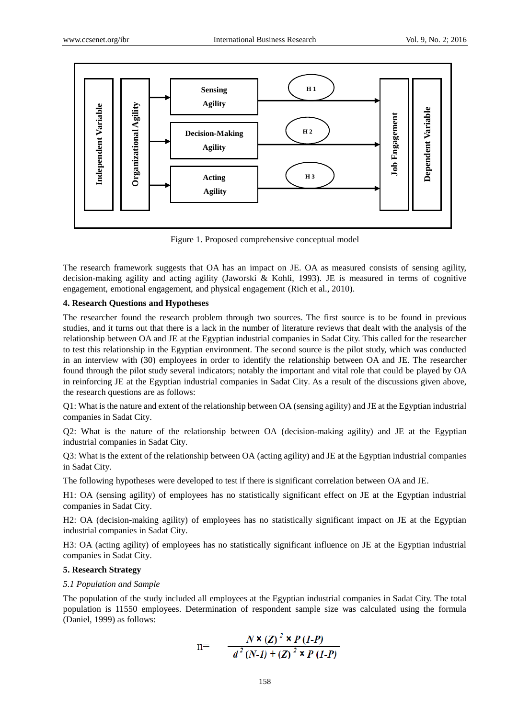

Figure 1. Proposed comprehensive conceptual model

The research framework suggests that OA has an impact on JE. OA as measured consists of sensing agility, decision-making agility and acting agility (Jaworski & Kohli, 1993). JE is measured in terms of cognitive engagement, emotional engagement, and physical engagement (Rich et al., 2010).

#### **4. Research Questions and Hypotheses**

The researcher found the research problem through two sources. The first source is to be found in previous studies, and it turns out that there is a lack in the number of literature reviews that dealt with the analysis of the relationship between OA and JE at the Egyptian industrial companies in Sadat City. This called for the researcher to test this relationship in the Egyptian environment. The second source is the pilot study, which was conducted in an interview with (30) employees in order to identify the relationship between OA and JE. The researcher found through the pilot study several indicators; notably the important and vital role that could be played by OA in reinforcing JE at the Egyptian industrial companies in Sadat City. As a result of the discussions given above, the research questions are as follows:

Q1: What is the nature and extent of the relationship between OA (sensing agility) and JE at the Egyptian industrial companies in Sadat City.

Q2: What is the nature of the relationship between OA (decision-making agility) and JE at the Egyptian industrial companies in Sadat City.

Q3: What is the extent of the relationship between OA (acting agility) and JE at the Egyptian industrial companies in Sadat City.

The following hypotheses were developed to test if there is significant correlation between OA and JE.

H1: OA (sensing agility) of employees has no statistically significant effect on JE at the Egyptian industrial companies in Sadat City.

H2: OA (decision-making agility) of employees has no statistically significant impact on JE at the Egyptian industrial companies in Sadat City.

H3: OA (acting agility) of employees has no statistically significant influence on JE at the Egyptian industrial companies in Sadat City.

# **5. Research Strategy**

## *5.1 Population and Sample*

The population of the study included all employees at the Egyptian industrial companies in Sadat City. The total population is 11550 employees. Determination of respondent sample size was calculated using the formula (Daniel, 1999) as follows:

$$
n = \frac{N \times (Z)^2 \times P (1-P)}{d^2 (N-I) + (Z)^2 \times P (1-P)}
$$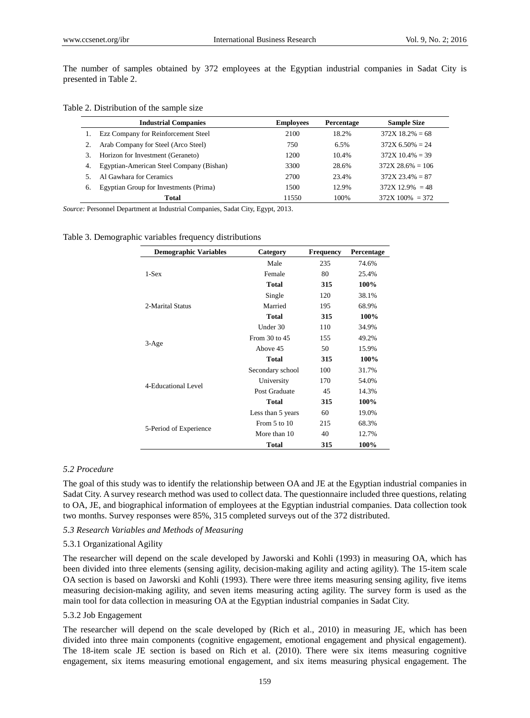The number of samples obtained by 372 employees at the Egyptian industrial companies in Sadat City is presented in Table 2.

| Table 2. Distribution of the sample size |  |  |  |
|------------------------------------------|--|--|--|
|------------------------------------------|--|--|--|

|     | <b>Industrial Companies</b>              | <b>Employees</b> | Percentage | <b>Sample Size</b> |
|-----|------------------------------------------|------------------|------------|--------------------|
|     | Ezz Company for Reinforcement Steel      | 2100             | 18.2%      | $372X$ 18.2% = 68  |
| 2.  | Arab Company for Steel (Arco Steel)      | 750              | 6.5%       | $372X$ 6.50% = 24  |
| 3.  | Horizon for Investment (Geraneto)        | 1200             | 10.4%      | $372X$ 10.4% = 39  |
| 4.  | Egyptian-American Steel Company (Bishan) | 3300             | 28.6%      | $372X$ 28.6% = 106 |
| 5.  | Al Gawhara for Ceramics                  | 2700             | 23.4%      | $372X$ 23.4% = 87  |
| -6. | Egyptian Group for Investments (Prima)   | 1500             | 12.9%      | $372X$ 12.9% = 48  |
|     | Total                                    | 11550            | 100%       | $372X 100\% = 372$ |

*Source:* Personnel Department at Industrial Companies, Sadat City, Egypt, 2013.

Table 3. Demographic variables frequency distributions

| <b>Demographic Variables</b> | Category          | <b>Frequency</b> | Percentage |
|------------------------------|-------------------|------------------|------------|
|                              | Male              | 235              | 74.6%      |
| $1-Sex$                      | Female            | 80               | 25.4%      |
|                              | <b>Total</b>      | 315              | 100%       |
|                              | Single            | 120              | 38.1%      |
| 2-Marital Status             | Married           | 195              | 68.9%      |
|                              | Total             | 315              | 100%       |
|                              | Under 30          | 110              | 34.9%      |
|                              | From 30 to 45     | 155              | 49.2%      |
| $3-Age$                      | Above 45          | 50               | 15.9%      |
|                              | <b>Total</b>      | 315              | 100%       |
|                              | Secondary school  | 100              | 31.7%      |
| 4-Educational Level          | University        | 170              | 54.0%      |
|                              | Post Graduate     | 45               | 14.3%      |
|                              | <b>Total</b>      | 315              | 100%       |
|                              | Less than 5 years | 60               | 19.0%      |
|                              | From $5$ to $10$  | 215              | 68.3%      |
| 5-Period of Experience       | More than 10      | 40               | 12.7%      |
|                              | <b>Total</b>      | 315              | 100%       |

# *5.2 Procedure*

The goal of this study was to identify the relationship between OA and JE at the Egyptian industrial companies in Sadat City. A survey research method was used to collect data. The questionnaire included three questions, relating to OA, JE, and biographical information of employees at the Egyptian industrial companies. Data collection took two months. Survey responses were 85%, 315 completed surveys out of the 372 distributed.

## *5.3 Research Variables and Methods of Measuring*

#### 5.3.1 Organizational Agility

The researcher will depend on the scale developed by Jaworski and Kohli (1993) in measuring OA, which has been divided into three elements (sensing agility, decision-making agility and acting agility). The 15-item scale OA section is based on Jaworski and Kohli (1993). There were three items measuring sensing agility, five items measuring decision-making agility, and seven items measuring acting agility. The survey form is used as the main tool for data collection in measuring OA at the Egyptian industrial companies in Sadat City.

#### 5.3.2 Job Engagement

The researcher will depend on the scale developed by (Rich et al., 2010) in measuring JE, which has been divided into three main components (cognitive engagement, emotional engagement and physical engagement). The 18-item scale JE section is based on Rich et al. (2010). There were six items measuring cognitive engagement, six items measuring emotional engagement, and six items measuring physical engagement. The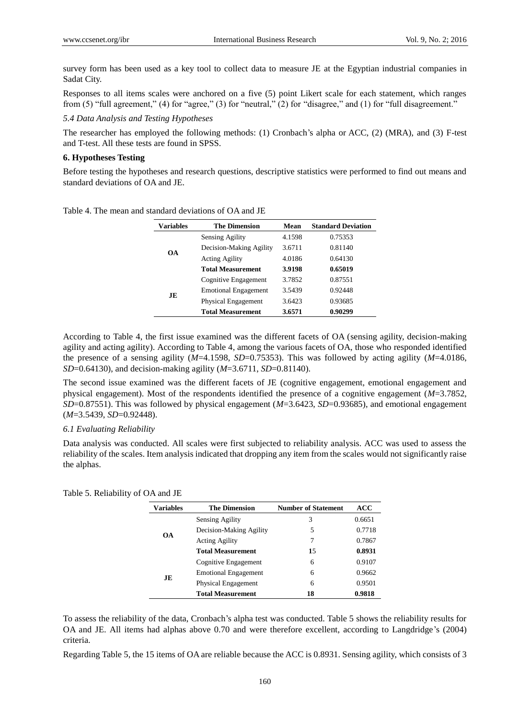survey form has been used as a key tool to collect data to measure JE at the Egyptian industrial companies in Sadat City.

Responses to all items scales were anchored on a five (5) point Likert scale for each statement, which ranges from (5) "full agreement," (4) for "agree," (3) for "neutral," (2) for "disagree," and (1) for "full disagreement."

*5.4 Data Analysis and Testing Hypotheses* 

Table 4. The mean and standard deviations of OA and JE

The researcher has employed the following methods: (1) Cronbach's alpha or ACC, (2) (MRA), and (3) F-test and T-test. All these tests are found in SPSS.

## **6. Hypotheses Testing**

Before testing the hypotheses and research questions, descriptive statistics were performed to find out means and standard deviations of OA and JE.

| Variables | <b>The Dimension</b>        | Mean   | <b>Standard Deviation</b> |
|-----------|-----------------------------|--------|---------------------------|
|           | <b>Sensing Agility</b>      | 4.1598 | 0.75353                   |
| ΩA.       | Decision-Making Agility     | 3.6711 | 0.81140                   |
|           | <b>Acting Agility</b>       | 4.0186 | 0.64130                   |
|           | <b>Total Measurement</b>    | 3.9198 | 0.65019                   |
|           | Cognitive Engagement        | 3.7852 | 0.87551                   |
|           | <b>Emotional Engagement</b> | 3.5439 | 0.92448                   |
| .IE       | <b>Physical Engagement</b>  | 3.6423 | 0.93685                   |
|           | <b>Total Measurement</b>    | 3.6571 | 0.90299                   |

According to Table 4, the first issue examined was the different facets of OA (sensing agility, decision-making agility and acting agility). According to Table 4, among the various facets of OA, those who responded identified the presence of a sensing agility (*M*=4.1598, *SD*=0.75353). This was followed by acting agility (*M*=4.0186, *SD*=0.64130), and decision-making agility (*M*=3.6711, *SD*=0.81140).

The second issue examined was the different facets of JE (cognitive engagement, emotional engagement and physical engagement). Most of the respondents identified the presence of a cognitive engagement (*M*=3.7852, *SD*=0.87551). This was followed by physical engagement (*M*=3.6423, *SD*=0.93685), and emotional engagement (*M*=3.5439, *SD*=0.92448).

#### *6.1 Evaluating Reliability*

Data analysis was conducted. All scales were first subjected to reliability analysis. ACC was used to assess the reliability of the scales. Item analysis indicated that dropping any item from the scales would not significantly raise the alphas.

|  | Table 5. Reliability of OA and JE |  |  |
|--|-----------------------------------|--|--|
|--|-----------------------------------|--|--|

| <b>Variables</b>                     | <b>The Dimension</b>        | <b>Number of Statement</b> | ACC    |
|--------------------------------------|-----------------------------|----------------------------|--------|
|                                      | Sensing Agility             | 3                          | 0.6651 |
| Decision-Making Agility<br><b>OA</b> |                             | 5                          | 0.7718 |
|                                      | <b>Acting Agility</b>       | 7                          | 0.7867 |
|                                      | <b>Total Measurement</b>    | 15                         | 0.8931 |
|                                      | Cognitive Engagement        | 6                          | 0.9107 |
| .IE                                  | <b>Emotional Engagement</b> | 6                          | 0.9662 |
|                                      | Physical Engagement         | 6                          | 0.9501 |
|                                      | <b>Total Measurement</b>    | 18                         | 0.9818 |

To assess the reliability of the data, Cronbach's alpha test was conducted. Table 5 shows the reliability results for OA and JE. All items had alphas above 0.70 and were therefore excellent, according to Langdridge's (2004) criteria.

Regarding Table 5, the 15 items of OA are reliable because the ACC is 0.8931. Sensing agility, which consists of 3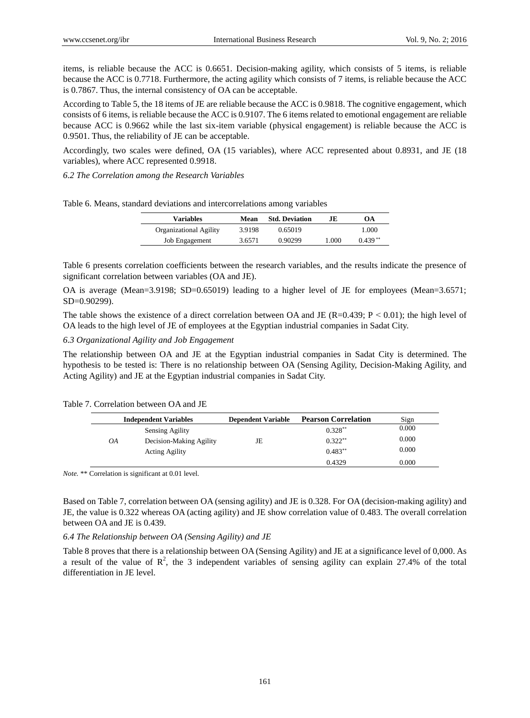items, is reliable because the ACC is 0.6651. Decision-making agility, which consists of 5 items, is reliable because the ACC is 0.7718. Furthermore, the acting agility which consists of 7 items, is reliable because the ACC is 0.7867. Thus, the internal consistency of OA can be acceptable.

According to Table 5, the 18 items of JE are reliable because the ACC is 0.9818. The cognitive engagement, which consists of 6 items, is reliable because the ACC is 0.9107. The 6 items related to emotional engagement are reliable because ACC is 0.9662 while the last six-item variable (physical engagement) is reliable because the ACC is 0.9501. Thus, the reliability of JE can be acceptable.

Accordingly, two scales were defined, OA (15 variables), where ACC represented about 0.8931, and JE (18 variables), where ACC represented 0.9918.

*6.2 The Correlation among the Research Variables*

Table 6. Means, standard deviations and intercorrelations among variables

| <b>Variables</b>       | Mean   | <b>Std. Deviation</b> | .IE   | OА        |
|------------------------|--------|-----------------------|-------|-----------|
| Organizational Agility | 3.9198 | 0.65019               |       | 1.000     |
| Job Engagement         | 3.6571 | 0.90299               | 1.000 | $0.439**$ |

Table 6 presents correlation coefficients between the research variables, and the results indicate the presence of significant correlation between variables (OA and JE).

OA is average (Mean=3.9198; SD=0.65019) leading to a higher level of JE for employees (Mean=3.6571; SD=0.90299).

The table shows the existence of a direct correlation between OA and JE (R=0.439; P < 0.01); the high level of OA leads to the high level of JE of employees at the Egyptian industrial companies in Sadat City.

*6.3 Organizational Agility and Job Engagement*

The relationship between OA and JE at the Egyptian industrial companies in Sadat City is determined. The hypothesis to be tested is: There is no relationship between OA (Sensing Agility, Decision-Making Agility, and Acting Agility) and JE at the Egyptian industrial companies in Sadat City.

|    | <b>Independent Variables</b> | <b>Dependent Variable</b> | <b>Pearson Correlation</b> |       |
|----|------------------------------|---------------------------|----------------------------|-------|
|    | <b>Sensing Agility</b>       |                           | $0.328**$                  | 0.000 |
| 0A | Decision-Making Agility      | JE                        | $0.322**$                  | 0.000 |
|    | <b>Acting Agility</b>        |                           | $0.483**$                  | 0.000 |
|    |                              |                           | 0.4329                     | 0.000 |

*Note.* \*\* Correlation is significant at 0.01 level.

Based on Table 7, correlation between OA (sensing agility) and JE is 0.328. For OA (decision-making agility) and JE, the value is 0.322 whereas OA (acting agility) and JE show correlation value of 0.483. The overall correlation between OA and JE is 0.439.

## *6.4 The Relationship between OA (Sensing Agility) and JE*

Table 8 proves that there is a relationship between OA (Sensing Agility) and JE at a significance level of 0,000. As a result of the value of  $\mathbb{R}^2$ , the 3 independent variables of sensing agility can explain 27.4% of the total differentiation in JE level.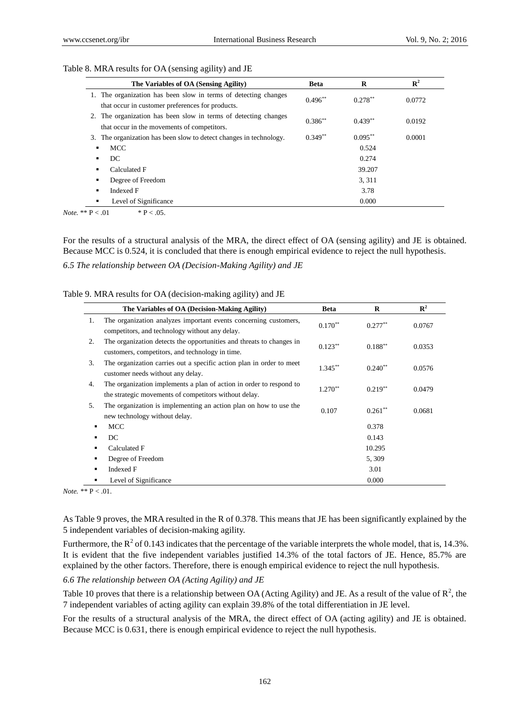| Table 8. MRA results for OA (sensing agility) and JE |
|------------------------------------------------------|
|------------------------------------------------------|

| The Variables of OA (Sensing Agility)                                                                               | <b>Beta</b> | R          | $\mathbb{R}^2$ |  |
|---------------------------------------------------------------------------------------------------------------------|-------------|------------|----------------|--|
| 1. The organization has been slow in terms of detecting changes<br>that occur in customer preferences for products. | $0.496**$   | $0.278**$  | 0.0772         |  |
| 2. The organization has been slow in terms of detecting changes<br>that occur in the movements of competitors.      | $0.386**$   | $0.439**$  | 0.0192         |  |
| 3. The organization has been slow to detect changes in technology.                                                  | $0.349**$   | $0.095***$ | 0.0001         |  |
| <b>MCC</b><br>٠                                                                                                     | 0.524       |            |                |  |
| DC<br>٠                                                                                                             | 0.274       |            |                |  |
| Calculated F<br>٠                                                                                                   | 39.207      |            |                |  |
| Degree of Freedom<br>п                                                                                              | 3, 311      |            |                |  |
| Indexed F<br>٠                                                                                                      | 3.78        |            |                |  |
| Level of Significance<br>п                                                                                          | 0.000       |            |                |  |

*Note.*  $**$  P < .01  $*$  P < .05.

For the results of a structural analysis of the MRA, the direct effect of OA (sensing agility) and JE is obtained. Because MCC is 0.524, it is concluded that there is enough empirical evidence to reject the null hypothesis. *6.5 The relationship between OA (Decision-Making Agility) and JE*

| Table 9. MRA results for OA (decision-making agility) and JE |
|--------------------------------------------------------------|
|--------------------------------------------------------------|

|    | The Variables of OA (Decision-Making Agility)                                                                                | <b>Beta</b> | $\bf{R}$   | $\mathbb{R}^2$ |
|----|------------------------------------------------------------------------------------------------------------------------------|-------------|------------|----------------|
| 1. | The organization analyzes important events concerning customers,<br>competitors, and technology without any delay.           | $0.170**$   | $0.277***$ | 0.0767         |
| 2. | The organization detects the opportunities and threats to changes in<br>customers, competitors, and technology in time.      | $0.123***$  | $0.188***$ | 0.0353         |
| 3. | The organization carries out a specific action plan in order to meet<br>customer needs without any delay.                    | $1.345***$  | $0.240**$  | 0.0576         |
| 4. | The organization implements a plan of action in order to respond to<br>the strategic movements of competitors without delay. | $1.270**$   | $0.219**$  | 0.0479         |
| 5. | The organization is implementing an action plan on how to use the<br>new technology without delay.                           | 0.107       | $0.261**$  | 0.0681         |
|    | <b>MCC</b>                                                                                                                   |             | 0.378      |                |
|    | DC                                                                                                                           |             | 0.143      |                |
| ٠  | Calculated F                                                                                                                 |             | 10.295     |                |
|    | Degree of Freedom                                                                                                            |             | 5, 309     |                |
|    | Indexed F                                                                                                                    |             | 3.01       |                |
|    | Level of Significance                                                                                                        |             | 0.000      |                |

*Note.* \*\* P < .01.

As Table 9 proves, the MRA resulted in the R of 0.378. This means that JE has been significantly explained by the 5 independent variables of decision-making agility.

Furthermore, the  $R^2$  of 0.143 indicates that the percentage of the variable interprets the whole model, that is, 14.3%. It is evident that the five independent variables justified 14.3% of the total factors of JE. Hence, 85.7% are explained by the other factors. Therefore, there is enough empirical evidence to reject the null hypothesis.

#### *6.6 The relationship between OA (Acting Agility) and JE*

Table 10 proves that there is a relationship between OA (Acting Agility) and JE. As a result of the value of  $\mathbb{R}^2$ , the 7 independent variables of acting agility can explain 39.8% of the total differentiation in JE level.

For the results of a structural analysis of the MRA, the direct effect of OA (acting agility) and JE is obtained. Because MCC is 0.631, there is enough empirical evidence to reject the null hypothesis.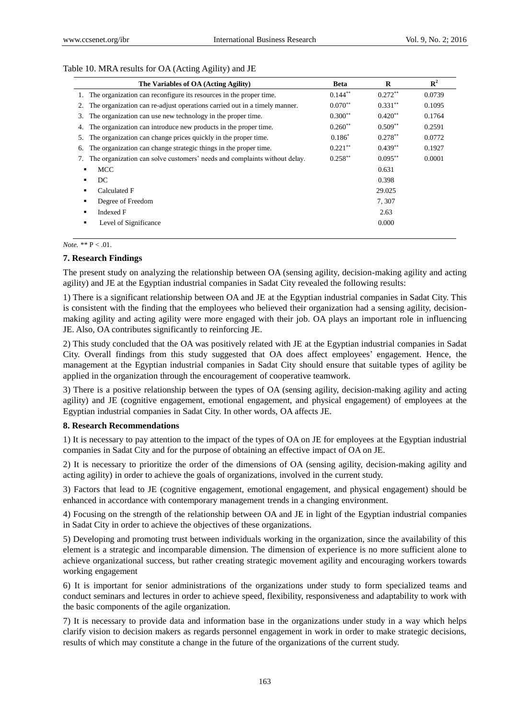#### Table 10. MRA results for OA (Acting Agility) and JE

|                       | The Variables of OA (Acting Agility)                                      | <b>Beta</b> | $\bf{R}$  | $\mathbb{R}^2$ |
|-----------------------|---------------------------------------------------------------------------|-------------|-----------|----------------|
| 1.                    | The organization can reconfigure its resources in the proper time.        | $0.144***$  | $0.272**$ | 0.0739         |
| 2.                    | The organization can re-adjust operations carried out in a timely manner. | $0.070**$   | $0.331**$ | 0.1095         |
| 3.                    | The organization can use new technology in the proper time.               | $0.300**$   | $0.420**$ | 0.1764         |
| 4.                    | The organization can introduce new products in the proper time.           | $0.260**$   | $0.509**$ | 0.2591         |
| 5.                    | The organization can change prices quickly in the proper time.            | $0.186*$    | $0.278**$ | 0.0772         |
| 6.                    | The organization can change strategic things in the proper time.          | $0.221***$  | $0.439**$ | 0.1927         |
|                       | The organization can solve customers' needs and complaints without delay. | $0.258**$   | $0.095**$ | 0.0001         |
| <b>MCC</b>            |                                                                           |             | 0.631     |                |
| DC                    |                                                                           |             | 0.398     |                |
| Calculated F          |                                                                           |             | 29.025    |                |
| Degree of Freedom     |                                                                           |             | 7.307     |                |
| Indexed F             |                                                                           |             | 2.63      |                |
| Level of Significance |                                                                           |             | 0.000     |                |
|                       |                                                                           |             |           |                |

#### *Note.*  $** P < .01$ .

#### **7. Research Findings**

The present study on analyzing the relationship between OA (sensing agility, decision-making agility and acting agility) and JE at the Egyptian industrial companies in Sadat City revealed the following results:

1) There is a significant relationship between OA and JE at the Egyptian industrial companies in Sadat City. This is consistent with the finding that the employees who believed their organization had a sensing agility, decisionmaking agility and acting agility were more engaged with their job. OA plays an important role in influencing JE. Also, OA contributes significantly to reinforcing JE.

2) This study concluded that the OA was positively related with JE at the Egyptian industrial companies in Sadat City. Overall findings from this study suggested that OA does affect employees' engagement. Hence, the management at the Egyptian industrial companies in Sadat City should ensure that suitable types of agility be applied in the organization through the encouragement of cooperative teamwork.

3) There is a positive relationship between the types of OA (sensing agility, decision-making agility and acting agility) and JE (cognitive engagement, emotional engagement, and physical engagement) of employees at the Egyptian industrial companies in Sadat City. In other words, OA affects JE.

#### **8. Research Recommendations**

1) It is necessary to pay attention to the impact of the types of OA on JE for employees at the Egyptian industrial companies in Sadat City and for the purpose of obtaining an effective impact of OA on JE.

2) It is necessary to prioritize the order of the dimensions of OA (sensing agility, decision-making agility and acting agility) in order to achieve the goals of organizations, involved in the current study.

3) Factors that lead to JE (cognitive engagement, emotional engagement, and physical engagement) should be enhanced in accordance with contemporary management trends in a changing environment.

4) Focusing on the strength of the relationship between OA and JE in light of the Egyptian industrial companies in Sadat City in order to achieve the objectives of these organizations.

5) Developing and promoting trust between individuals working in the organization, since the availability of this element is a strategic and incomparable dimension. The dimension of experience is no more sufficient alone to achieve organizational success, but rather creating strategic movement agility and encouraging workers towards working engagement

6) It is important for senior administrations of the organizations under study to form specialized teams and conduct seminars and lectures in order to achieve speed, flexibility, responsiveness and adaptability to work with the basic components of the agile organization.

7) It is necessary to provide data and information base in the organizations under study in a way which helps clarify vision to decision makers as regards personnel engagement in work in order to make strategic decisions, results of which may constitute a change in the future of the organizations of the current study.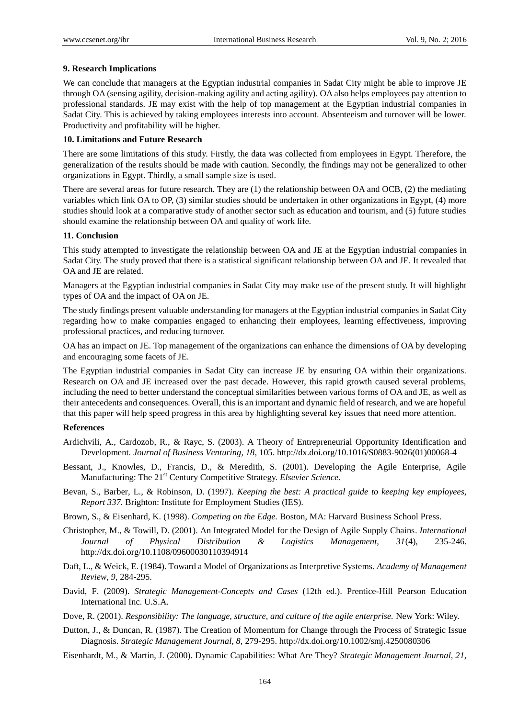#### **9. Research Implications**

We can conclude that managers at the Egyptian industrial companies in Sadat City might be able to improve JE through OA (sensing agility, decision-making agility and acting agility). OA also helps employees pay attention to professional standards. JE may exist with the help of top management at the Egyptian industrial companies in Sadat City. This is achieved by taking employees interests into account. Absenteeism and turnover will be lower. Productivity and profitability will be higher.

# **10. Limitations and Future Research**

There are some limitations of this study. Firstly, the data was collected from employees in Egypt. Therefore, the generalization of the results should be made with caution. Secondly, the findings may not be generalized to other organizations in Egypt. Thirdly, a small sample size is used.

There are several areas for future research. They are (1) the relationship between OA and OCB, (2) the mediating variables which link OA to OP, (3) similar studies should be undertaken in other organizations in Egypt, (4) more studies should look at a comparative study of another sector such as education and tourism, and (5) future studies should examine the relationship between OA and quality of work life.

#### **11. Conclusion**

This study attempted to investigate the relationship between OA and JE at the Egyptian industrial companies in Sadat City. The study proved that there is a statistical significant relationship between OA and JE. It revealed that OA and JE are related.

Managers at the Egyptian industrial companies in Sadat City may make use of the present study. It will highlight types of OA and the impact of OA on JE.

The study findings present valuable understanding for managers at the Egyptian industrial companies in Sadat City regarding how to make companies engaged to enhancing their employees, learning effectiveness, improving professional practices, and reducing turnover.

OA has an impact on JE. Top management of the organizations can enhance the dimensions of OA by developing and encouraging some facets of JE.

The Egyptian industrial companies in Sadat City can increase JE by ensuring OA within their organizations. Research on OA and JE increased over the past decade. However, this rapid growth caused several problems, including the need to better understand the conceptual similarities between various forms of OA and JE, as well as their antecedents and consequences. Overall, this is an important and dynamic field of research, and we are hopeful that this paper will help speed progress in this area by highlighting several key issues that need more attention.

#### **References**

- Ardichvili, A., Cardozob, R., & Rayc, S. (2003). A Theory of Entrepreneurial Opportunity Identification and Development. *Journal of Business Venturing, 18,* 105. [http://dx.doi.org/10.1016/S0883-9026\(01\)00068-4](http://dx.doi.org/10.1016/S0883-9026(01)00068-4)
- Bessant, J., Knowles, D., Francis, D., & Meredith, S. (2001). Developing the Agile Enterprise, Agile Manufacturing: The 21<sup>st</sup> Century Competitive Strategy. *Elsevier Science*.
- Bevan, S., Barber, L., & Robinson, D. (1997). *Keeping the best: A practical guide to keeping key employees, Report 337.* Brighton: Institute for Employment Studies (IES).
- Brown, S., & Eisenhard, K. (1998). *Competing on the Edge.* Boston, MA: Harvard Business School Press.
- Christopher, M., & Towill, D. (2001). An Integrated Model for the Design of Agile Supply Chains. *International Journal of Physical Distribution & Logistics Management, 31*(4), 235-246. <http://dx.doi.org/10.1108/09600030110394914>
- Daft, L., & Weick, E. (1984). Toward a Model of Organizations as Interpretive Systems. *Academy of Management Review, 9,* 284-295.
- David, F. (2009). *Strategic Management-Concepts and Cases* (12th ed.). Prentice-Hill Pearson Education International Inc. U.S.A.
- Dove, R. (2001). *Responsibility: The language, structure, and culture of the agile enterprise.* New York: Wiley.
- Dutton, J., & Duncan, R. (1987). The Creation of Momentum for Change through the Process of Strategic Issue Diagnosis. *Strategic Management Journal, 8,* 279-295. <http://dx.doi.org/10.1002/smj.4250080306>
- Eisenhardt, M., & Martin, J. (2000). Dynamic Capabilities: What Are They? *Strategic Management Journal, 21,*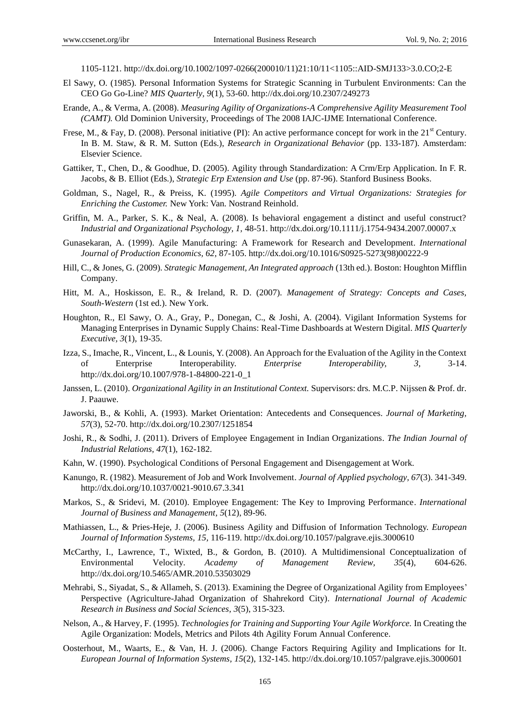1105-1121. [http://dx.doi.org/10.1002/1097-0266\(200010/11\)21:10/11<1105::AID-SMJ133>3.0.CO;2-E](http://dx.doi.org/10.1002/1097-0266(200010/11)21:10/11%3C1105::AID-SMJ133%3E3.0.CO;2-E)

- El Sawy, O. (1985). Personal Information Systems for Strategic Scanning in Turbulent Environments: Can the CEO Go Go-Line? *MIS Quarterly, 9*(1), 53-60. <http://dx.doi.org/10.2307/249273>
- Erande, A., & Verma, A. (2008). *Measuring Agility of Organizations-A Comprehensive Agility Measurement Tool (CAMT).* Old Dominion University, Proceedings of The 2008 IAJC-IJME International Conference.
- Frese, M., & Fay, D. (2008). Personal initiative (PI): An active performance concept for work in the 21<sup>st</sup> Century. In B. M. Staw, & R. M. Sutton (Eds.), *Research in Organizational Behavior* (pp. 133-187). Amsterdam: Elsevier Science.
- Gattiker, T., Chen, D., & Goodhue, D. (2005). Agility through Standardization: A Crm/Erp Application. In F. R. Jacobs, & B. Elliot (Eds.), *Strategic Erp Extension and Use* (pp. 87-96). Stanford Business Books.
- Goldman, S., Nagel, R., & Preiss, K. (1995). *Agile Competitors and Virtual Organizations: Strategies for Enriching the Customer.* New York: Van. Nostrand Reinhold.
- Griffin, M. A., Parker, S. K., & Neal, A. (2008). Is behavioral engagement a distinct and useful construct? *Industrial and Organizational Psychology, 1,* 48-51[. http://dx.doi.org/10.1111/j.1754-9434.2007.00007.x](http://dx.doi.org/10.1111/j.1754-9434.2007.00007.x)
- Gunasekaran, A. (1999). Agile Manufacturing: A Framework for Research and Development. *International Journal of Production Economics, 62,* 87-105. [http://dx.doi.org/10.1016/S0925-5273\(98\)00222-9](http://dx.doi.org/10.1016/S0925-5273(98)00222-9)
- Hill, C., & Jones, G. (2009). *Strategic Management, An Integrated approach* (13th ed.). Boston: Houghton Mifflin Company.
- Hitt, M. A., Hoskisson, E. R., & Ireland, R. D. (2007). *Management of Strategy: Concepts and Cases, South-Western* (1st ed.). New York.
- Houghton, R., El Sawy, O. A., Gray, P., Donegan, C., & Joshi, A. (2004). Vigilant Information Systems for Managing Enterprises in Dynamic Supply Chains: Real-Time Dashboards at Western Digital. *MIS Quarterly Executive, 3*(1), 19-35.
- Izza, S., Imache, R., Vincent, L., & Lounis, Y. (2008). An Approach for the Evaluation of the Agility in the Context of Enterprise Interoperability. *Enterprise Interoperability, 3,* 3-14. [http://dx.doi.org/10.1007/978-1-84800-221-0\\_1](http://dx.doi.org/10.1007/978-1-84800-221-0_1)
- Janssen, L. (2010). *Organizational Agility in an Institutional Context.* Supervisors: drs. M.C.P. Nijssen & Prof. dr. J. Paauwe.
- Jaworski, B., & Kohli, A. (1993). Market Orientation: Antecedents and Consequences. *Journal of Marketing, 57*(3), 52-70. <http://dx.doi.org/10.2307/1251854>
- Joshi, R., & Sodhi, J. (2011). Drivers of Employee Engagement in Indian Organizations. *The Indian Journal of Industrial Relations, 47*(1), 162-182.
- Kahn, W. (1990). Psychological Conditions of Personal Engagement and Disengagement at Work.
- Kanungo, R. (1982). Measurement of Job and Work Involvement. *Journal of Applied psychology, 67*(3). 341-349. <http://dx.doi.org/10.1037/0021-9010.67.3.341>
- Markos, S., & Sridevi, M. (2010). Employee Engagement: The Key to Improving Performance. *International Journal of Business and Management, 5*(12), 89-96.
- Mathiassen, L., & Pries-Heje, J. (2006). Business Agility and Diffusion of Information Technology. *European Journal of Information Systems, 15,* 116-119. <http://dx.doi.org/10.1057/palgrave.ejis.3000610>
- McCarthy, I., Lawrence, T., Wixted, B., & Gordon, B. (2010). A Multidimensional Conceptualization of Environmental Velocity. *Academy of Management Review, 35*(4), 604-626. <http://dx.doi.org/10.5465/AMR.2010.53503029>
- Mehrabi, S., Siyadat, S., & Allameh, S. (2013). Examining the Degree of Organizational Agility from Employees' Perspective (Agriculture-Jahad Organization of Shahrekord City). *International Journal of Academic Research in Business and Social Sciences, 3*(5), 315-323.
- Nelson, A., & Harvey, F. (1995). *Technologies for Training and Supporting Your Agile Workforce.* In Creating the Agile Organization: Models, Metrics and Pilots 4th Agility Forum Annual Conference.
- Oosterhout, M., Waarts, E., & Van, H. J. (2006). Change Factors Requiring Agility and Implications for It. *European Journal of Information Systems, 15*(2), 132-145. <http://dx.doi.org/10.1057/palgrave.ejis.3000601>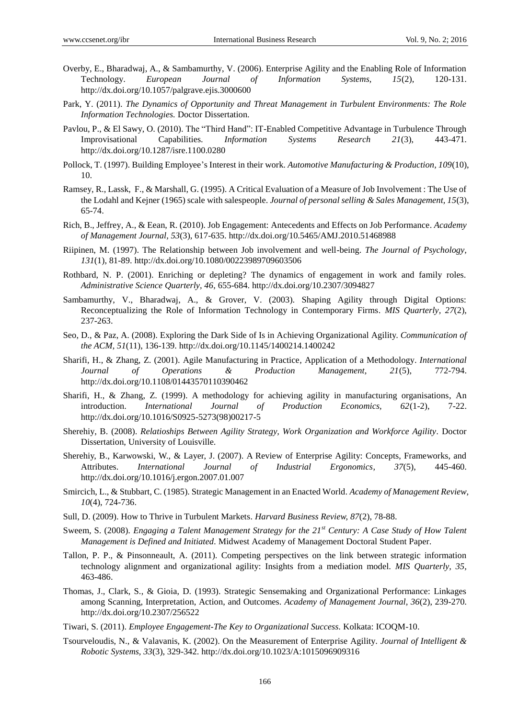- Overby, E., Bharadwaj, A., & Sambamurthy, V. (2006). Enterprise Agility and the Enabling Role of Information Technology. *European Journal of Information Systems, 15*(2), 120-131. <http://dx.doi.org/10.1057/palgrave.ejis.3000600>
- Park, Y. (2011). *The Dynamics of Opportunity and Threat Management in Turbulent Environments: The Role Information Technologies.* Doctor Dissertation.
- Pavlou, P., & El Sawy, O. (2010). The "Third Hand": IT-Enabled Competitive Advantage in Turbulence Through Improvisational Capabilities. *Information Systems Research 21*(3), 443-471. <http://dx.doi.org/10.1287/isre.1100.0280>
- Pollock, T. (1997). Building Employee's Interest in their work. *Automotive Manufacturing & Production, 109*(10), 10.
- Ramsey, R., Lassk, F., & Marshall, G. (1995). A Critical Evaluation of a Measure of Job Involvement : The Use of the Lodahl and Kejner (1965) scale with salespeople. *Journal of personal selling & Sales Management, 15*(3), 65-74.
- Rich, B., Jeffrey, A., & Eean, R. (2010). Job Engagement: Antecedents and Effects on Job Performance. *Academy of Management Journal, 53*(3), 617-635. <http://dx.doi.org/10.5465/AMJ.2010.51468988>
- Riipinen, M. (1997). The Relationship between Job involvement and well-being. *The Journal of Psychology, 131*(1), 81-89. <http://dx.doi.org/10.1080/00223989709603506>
- Rothbard, N. P. (2001). Enriching or depleting? The dynamics of engagement in work and family roles. *Administrative Science Quarterly, 46*, 655-684. <http://dx.doi.org/10.2307/3094827>
- Sambamurthy, V., Bharadwaj, A., & Grover, V. (2003). Shaping Agility through Digital Options: Reconceptualizing the Role of Information Technology in Contemporary Firms. *MIS Quarterly, 27*(2), 237-263.
- Seo, D., & Paz, A. (2008). Exploring the Dark Side of Is in Achieving Organizational Agility. *Communication of the ACM, 51*(11), 136-139. <http://dx.doi.org/10.1145/1400214.1400242>
- Sharifi, H., & Zhang, Z. (2001). Agile Manufacturing in Practice, Application of a Methodology. *International Journal of Operations & Production Management, 21*(5), 772-794. <http://dx.doi.org/10.1108/01443570110390462>
- Sharifi, H., & Zhang, Z. (1999). A methodology for achieving agility in manufacturing organisations, An introduction. *International Journal of Production Economics, 62*(1-2), 7-22. [http://dx.doi.org/10.1016/S0925-5273\(98\)00217-5](http://dx.doi.org/10.1016/S0925-5273(98)00217-5)
- Sherehiy, B. (2008). *Relatioships Between Agility Strategy, Work Organization and Workforce Agility.* Doctor Dissertation, University of Louisville.
- Sherehiy, B., Karwowski, W., & Layer, J. (2007). A Review of Enterprise Agility: Concepts, Frameworks, and Attributes. *International Journal of Industrial Ergonomics, 37*(5), 445-460. <http://dx.doi.org/10.1016/j.ergon.2007.01.007>
- Smircich, L., & Stubbart, C. (1985). Strategic Management in an Enacted World. *Academy of Management Review, 10*(4), 724-736.
- Sull, D. (2009). How to Thrive in Turbulent Markets. *Harvard Business Review, 87*(2), 78-88.
- Sweem, S. (2008). *Engaging a Talent Management Strategy for the 21st Century: A Case Study of How Talent Management is Defined and Initiated.* Midwest Academy of Management Doctoral Student Paper.
- Tallon, P. P., & Pinsonneault, A. (2011). Competing perspectives on the link between strategic information technology alignment and organizational agility: Insights from a mediation model. *MIS Quarterly, 35,* 463-486.
- Thomas, J., Clark, S., & Gioia, D. (1993). Strategic Sensemaking and Organizational Performance: Linkages among Scanning, Interpretation, Action, and Outcomes. *Academy of Management Journal, 36*(2), 239-270. <http://dx.doi.org/10.2307/256522>
- Tiwari, S. (2011). *Employee Engagement-The Key to Organizational Success.* Kolkata: ICOQM-10.
- Tsourveloudis, N., & Valavanis, K. (2002). On the Measurement of Enterprise Agility. *Journal of Intelligent & Robotic Systems, 33*(3), 329-342. <http://dx.doi.org/10.1023/A:1015096909316>